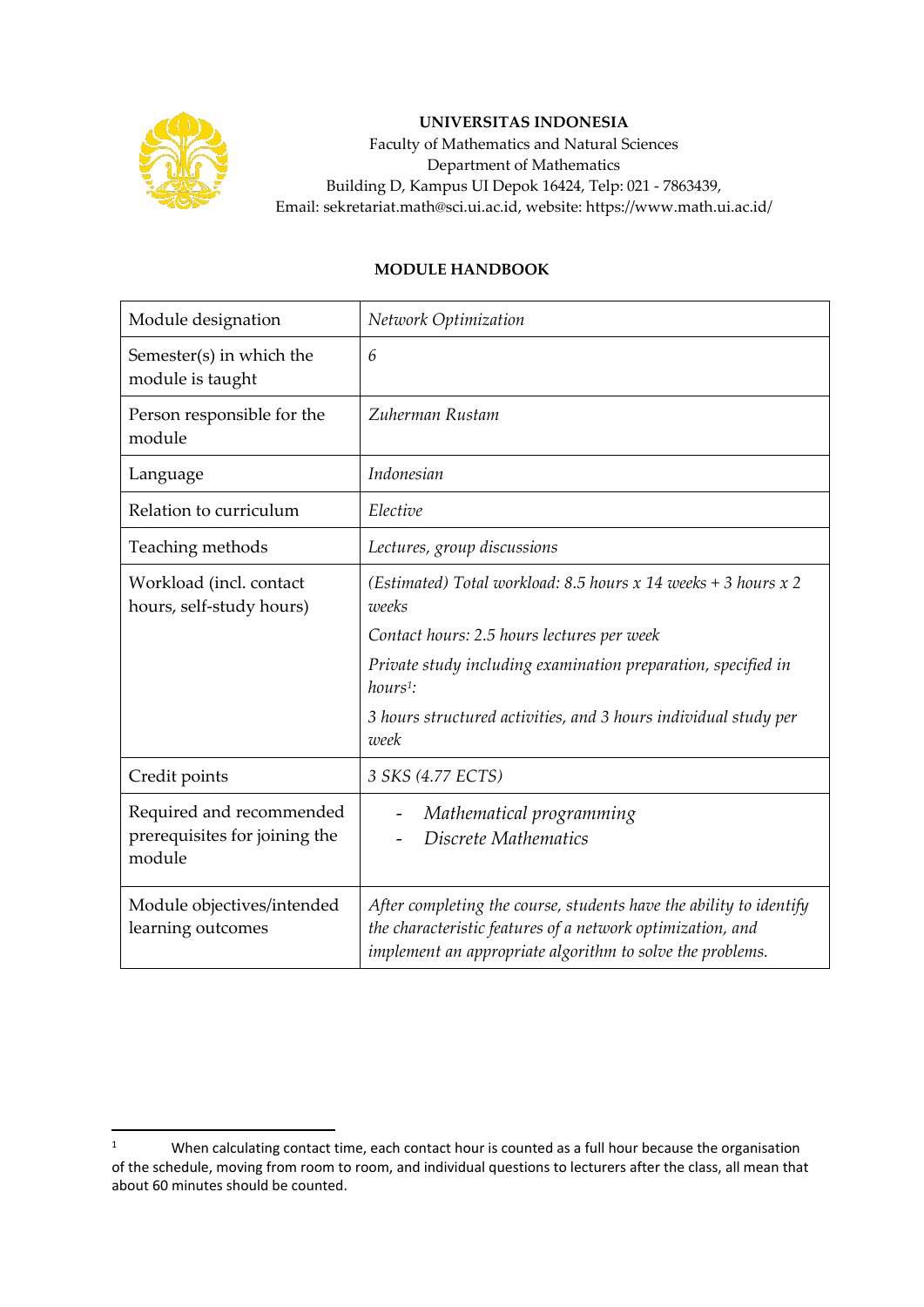

## **UNIVERSITAS INDONESIA**

Faculty of Mathematics and Natural Sciences Department of Mathematics Building D, Kampus UI Depok 16424, Telp: 021 - 7863439, Email: sekretariat.math@sci.ui.ac.id, website: https://www.math.ui.ac.id/

## **MODULE HANDBOOK**

| Module designation                                                  | Network Optimization                                                                                                                                                                          |
|---------------------------------------------------------------------|-----------------------------------------------------------------------------------------------------------------------------------------------------------------------------------------------|
| Semester(s) in which the<br>module is taught                        | 6                                                                                                                                                                                             |
| Person responsible for the<br>module                                | Zuherman Rustam                                                                                                                                                                               |
| Language                                                            | Indonesian                                                                                                                                                                                    |
| Relation to curriculum                                              | Elective                                                                                                                                                                                      |
| Teaching methods                                                    | Lectures, group discussions                                                                                                                                                                   |
| Workload (incl. contact<br>hours, self-study hours)                 | (Estimated) Total workload: 8.5 hours x 14 weeks + 3 hours x 2<br>weeks                                                                                                                       |
|                                                                     | Contact hours: 2.5 hours lectures per week                                                                                                                                                    |
|                                                                     | Private study including examination preparation, specified in<br>$hours1$ :                                                                                                                   |
|                                                                     | 3 hours structured activities, and 3 hours individual study per<br>week                                                                                                                       |
| Credit points                                                       | 3 SKS (4.77 ECTS)                                                                                                                                                                             |
| Required and recommended<br>prerequisites for joining the<br>module | Mathematical programming<br>Discrete Mathematics                                                                                                                                              |
| Module objectives/intended<br>learning outcomes                     | After completing the course, students have the ability to identify<br>the characteristic features of a network optimization, and<br>implement an appropriate algorithm to solve the problems. |

<sup>&</sup>lt;sup>1</sup> When calculating contact time, each contact hour is counted as a full hour because the organisation of the schedule, moving from room to room, and individual questions to lecturers after the class, all mean that about 60 minutes should be counted.